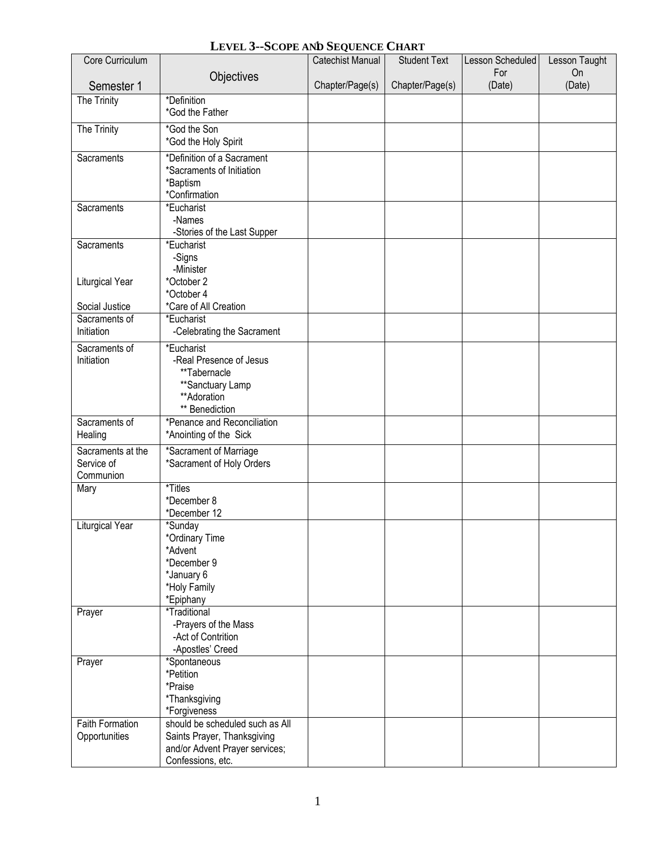|  | LEVEL 3--SCOPE AND SEQUENCE CHART |  |
|--|-----------------------------------|--|
|--|-----------------------------------|--|

| Core Curriculum                              |                                                                                                                       | Catechist Manual | <b>Student Text</b> | Lesson Scheduled | Lesson Taught |
|----------------------------------------------|-----------------------------------------------------------------------------------------------------------------------|------------------|---------------------|------------------|---------------|
|                                              | Objectives                                                                                                            |                  |                     | For              | On            |
| Semester 1                                   |                                                                                                                       | Chapter/Page(s)  | Chapter/Page(s)     | (Date)           | (Date)        |
| The Trinity                                  | *Definition<br>*God the Father                                                                                        |                  |                     |                  |               |
| The Trinity                                  | *God the Son<br>*God the Holy Spirit                                                                                  |                  |                     |                  |               |
| Sacraments                                   | *Definition of a Sacrament<br>*Sacraments of Initiation<br>*Baptism<br>*Confirmation                                  |                  |                     |                  |               |
| Sacraments                                   | *Eucharist<br>-Names<br>-Stories of the Last Supper                                                                   |                  |                     |                  |               |
| Sacraments                                   | *Eucharist<br>-Signs<br>-Minister                                                                                     |                  |                     |                  |               |
| Liturgical Year<br>Social Justice            | *October 2<br>*October 4<br>*Care of All Creation                                                                     |                  |                     |                  |               |
| Sacraments of<br>Initiation                  | *Eucharist<br>-Celebrating the Sacrament                                                                              |                  |                     |                  |               |
| Sacraments of<br>Initiation                  | *Eucharist<br>-Real Presence of Jesus<br>**Tabernacle<br>**Sanctuary Lamp<br>**Adoration<br>** Benediction            |                  |                     |                  |               |
| Sacraments of<br>Healing                     | *Penance and Reconciliation<br>*Anointing of the Sick                                                                 |                  |                     |                  |               |
| Sacraments at the<br>Service of<br>Communion | *Sacrament of Marriage<br>*Sacrament of Holy Orders                                                                   |                  |                     |                  |               |
| Mary                                         | *Titles<br>*December 8<br>*December 12                                                                                |                  |                     |                  |               |
| <b>Liturgical Year</b>                       | *Sunday<br>*Ordinary Time<br>*Advent<br>*December 9<br>*January 6<br>*Holy Family<br>*Epiphany                        |                  |                     |                  |               |
| Prayer                                       | *Traditional<br>-Prayers of the Mass<br>-Act of Contrition<br>-Apostles' Creed                                        |                  |                     |                  |               |
| Prayer                                       | *Spontaneous<br>*Petition<br>*Praise<br>*Thanksgiving<br>*Forgiveness                                                 |                  |                     |                  |               |
| <b>Faith Formation</b><br>Opportunities      | should be scheduled such as All<br>Saints Prayer, Thanksgiving<br>and/or Advent Prayer services;<br>Confessions, etc. |                  |                     |                  |               |